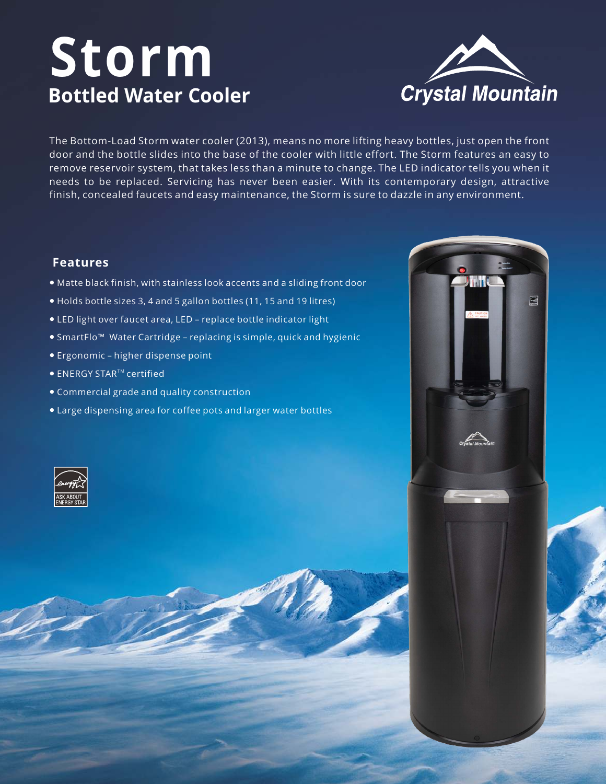# **Storm Bottled Water Cooler**



The Bottom-Load Storm water cooler (2013), means no more lifting heavy bottles, just open the front door and the bottle slides into the base of the cooler with little effort. The Storm features an easy to remove reservoir system, that takes less than a minute to change. The LED indicator tells you when it needs to be replaced. Servicing has never been easier. With its contemporary design, attractive finish, concealed faucets and easy maintenance, the Storm is sure to dazzle in any environment.

#### **Features**

- Matte black finish, with stainless look accents and a sliding front door
- Holds bottle sizes 3, 4 and 5 gallon bottles (11, 15 and 19 litres)
- LED light over faucet area, LED replace bottle indicator light
- SmartFlo™ Water Cartridge replacing is simple, quick and hygienic
- Ergonomic higher dispense point
- $\bullet$  ENERGY STAR<sup>TM</sup> certified
- Commercial grade and quality construction
- Large dispensing area for coffee pots and larger water bottles





ran C